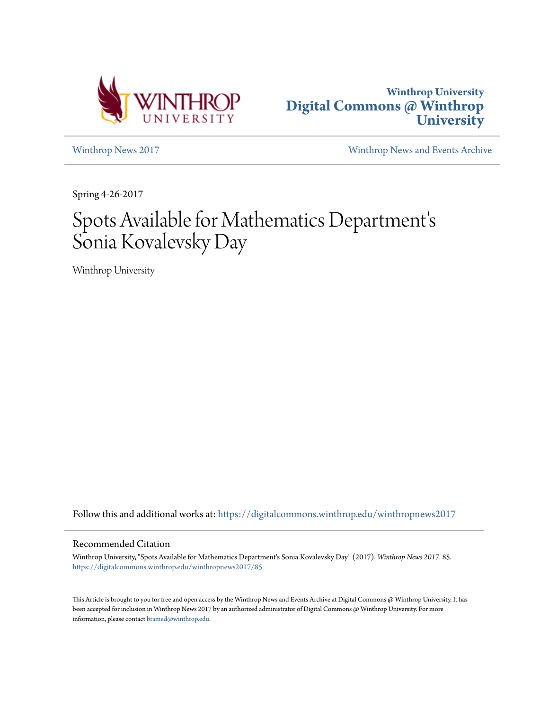



[Winthrop News 2017](https://digitalcommons.winthrop.edu/winthropnews2017?utm_source=digitalcommons.winthrop.edu%2Fwinthropnews2017%2F85&utm_medium=PDF&utm_campaign=PDFCoverPages) [Winthrop News and Events Archive](https://digitalcommons.winthrop.edu/winthropnewsarchives?utm_source=digitalcommons.winthrop.edu%2Fwinthropnews2017%2F85&utm_medium=PDF&utm_campaign=PDFCoverPages)

Spring 4-26-2017

## Spots Available for Mathematics Department' s Sonia Kovalevsky Day

Winthrop University

Follow this and additional works at: [https://digitalcommons.winthrop.edu/winthropnews2017](https://digitalcommons.winthrop.edu/winthropnews2017?utm_source=digitalcommons.winthrop.edu%2Fwinthropnews2017%2F85&utm_medium=PDF&utm_campaign=PDFCoverPages)

## Recommended Citation

Winthrop University, "Spots Available for Mathematics Department's Sonia Kovalevsky Day" (2017). *Winthrop News 2017*. 85. [https://digitalcommons.winthrop.edu/winthropnews2017/85](https://digitalcommons.winthrop.edu/winthropnews2017/85?utm_source=digitalcommons.winthrop.edu%2Fwinthropnews2017%2F85&utm_medium=PDF&utm_campaign=PDFCoverPages)

This Article is brought to you for free and open access by the Winthrop News and Events Archive at Digital Commons @ Winthrop University. It has been accepted for inclusion in Winthrop News 2017 by an authorized administrator of Digital Commons @ Winthrop University. For more information, please contact [bramed@winthrop.edu](mailto:bramed@winthrop.edu).